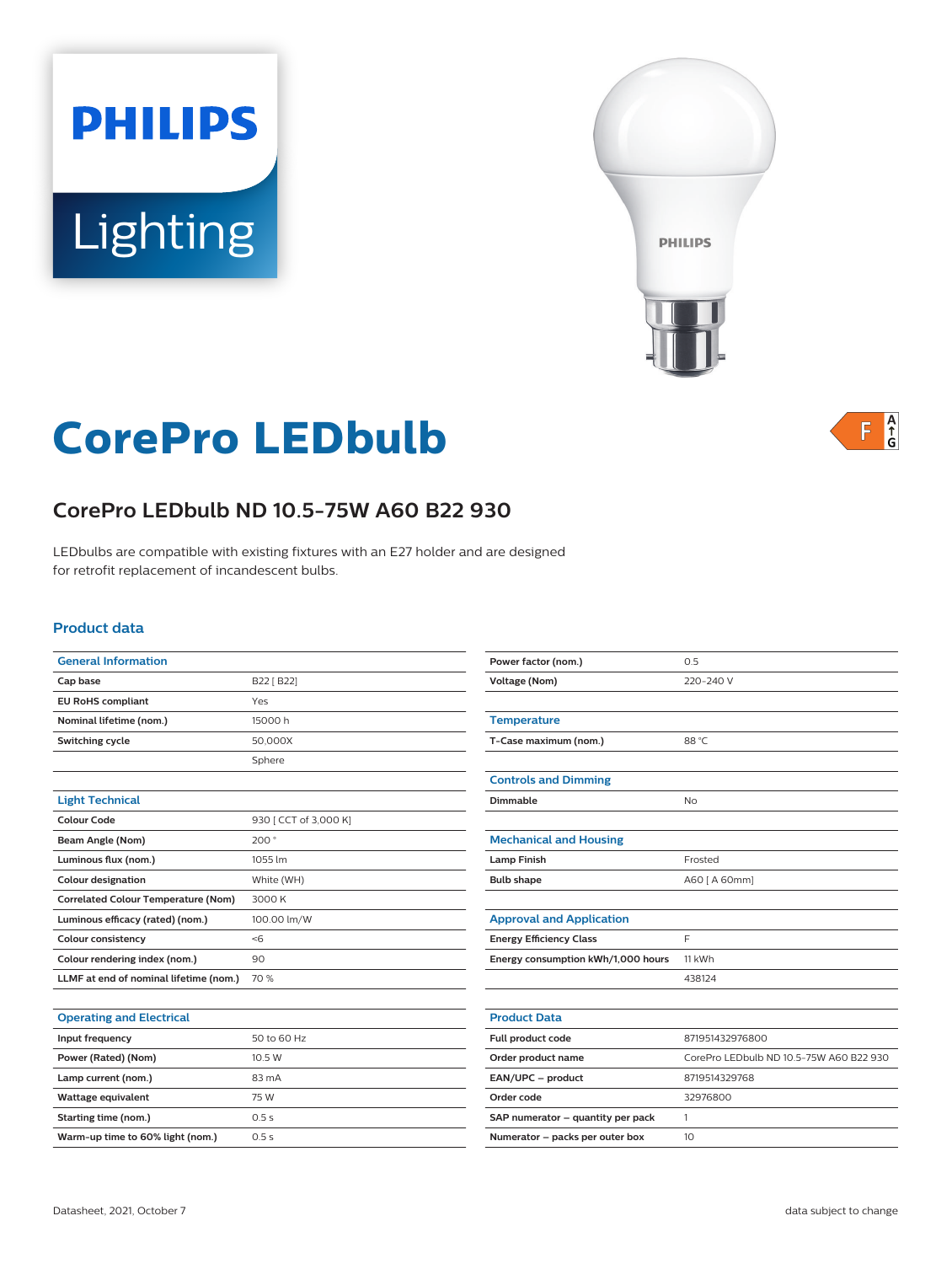# **PHILIPS** Lighting



# $F \frac{A}{G}$

# **CorePro LEDbulb**

# **CorePro LEDbulb ND 10.5-75W A60 B22 930**

LEDbulbs are compatible with existing fixtures with an E27 holder and are designed for retrofit replacement of incandescent bulbs.

#### **Product data**

| <b>General Information</b>                 |                       |
|--------------------------------------------|-----------------------|
| Cap base                                   | B22 [ B22]            |
| <b>EU RoHS compliant</b>                   | Yes                   |
| Nominal lifetime (nom.)                    | 15000 h               |
| Switching cycle                            | 50,000X               |
|                                            | Sphere                |
|                                            |                       |
| <b>Light Technical</b>                     |                       |
| <b>Colour Code</b>                         | 930 [ CCT of 3,000 K] |
| Beam Angle (Nom)                           | 200°                  |
| Luminous flux (nom.)                       | 1055 lm               |
| <b>Colour designation</b>                  | White (WH)            |
| <b>Correlated Colour Temperature (Nom)</b> | 3000 K                |
| Luminous efficacy (rated) (nom.)           | 100.00 lm/W           |
| <b>Colour consistency</b>                  | < 6                   |
| Colour rendering index (nom.)              | 90                    |
| LLMF at end of nominal lifetime (nom.)     | 70 %                  |
|                                            |                       |

| Power factor (nom.)                | 0.5                                     |  |
|------------------------------------|-----------------------------------------|--|
| <b>Voltage (Nom)</b>               | 220-240 V                               |  |
|                                    |                                         |  |
| <b>Temperature</b>                 |                                         |  |
| T-Case maximum (nom.)              | 88 °C                                   |  |
|                                    |                                         |  |
| <b>Controls and Dimming</b>        |                                         |  |
| Dimmable                           | <b>No</b>                               |  |
|                                    |                                         |  |
| <b>Mechanical and Housing</b>      |                                         |  |
| <b>Lamp Finish</b>                 | Frosted                                 |  |
| <b>Bulb shape</b>                  | A60 [ A 60mm]                           |  |
|                                    |                                         |  |
| <b>Approval and Application</b>    |                                         |  |
| <b>Energy Efficiency Class</b>     | F                                       |  |
| Energy consumption kWh/1,000 hours | 11 kWh                                  |  |
|                                    | 438124                                  |  |
|                                    |                                         |  |
| <b>Product Data</b>                |                                         |  |
| Full product code                  | 871951432976800                         |  |
| Order product name                 | CorePro LEDbulb ND 10.5-75W A60 B22 930 |  |
| EAN/UPC - product                  | 8719514329768                           |  |
| Order code                         | 32976800                                |  |
| SAP numerator - quantity per pack  | 1                                       |  |
| Numerator - packs per outer box    | 10                                      |  |

| 50 to 60 Hz<br>Input frequency<br>Power (Rated) (Nom)<br>10.5 W<br>Lamp current (nom.)<br>83 mA<br>Wattage equivalent<br>75 W<br>Starting time (nom.)<br>0.5s<br>Warm-up time to 60% light (nom.)<br>0.5s | Operating and Liectrical |  |
|-----------------------------------------------------------------------------------------------------------------------------------------------------------------------------------------------------------|--------------------------|--|
|                                                                                                                                                                                                           |                          |  |
|                                                                                                                                                                                                           |                          |  |
|                                                                                                                                                                                                           |                          |  |
|                                                                                                                                                                                                           |                          |  |
|                                                                                                                                                                                                           |                          |  |
|                                                                                                                                                                                                           |                          |  |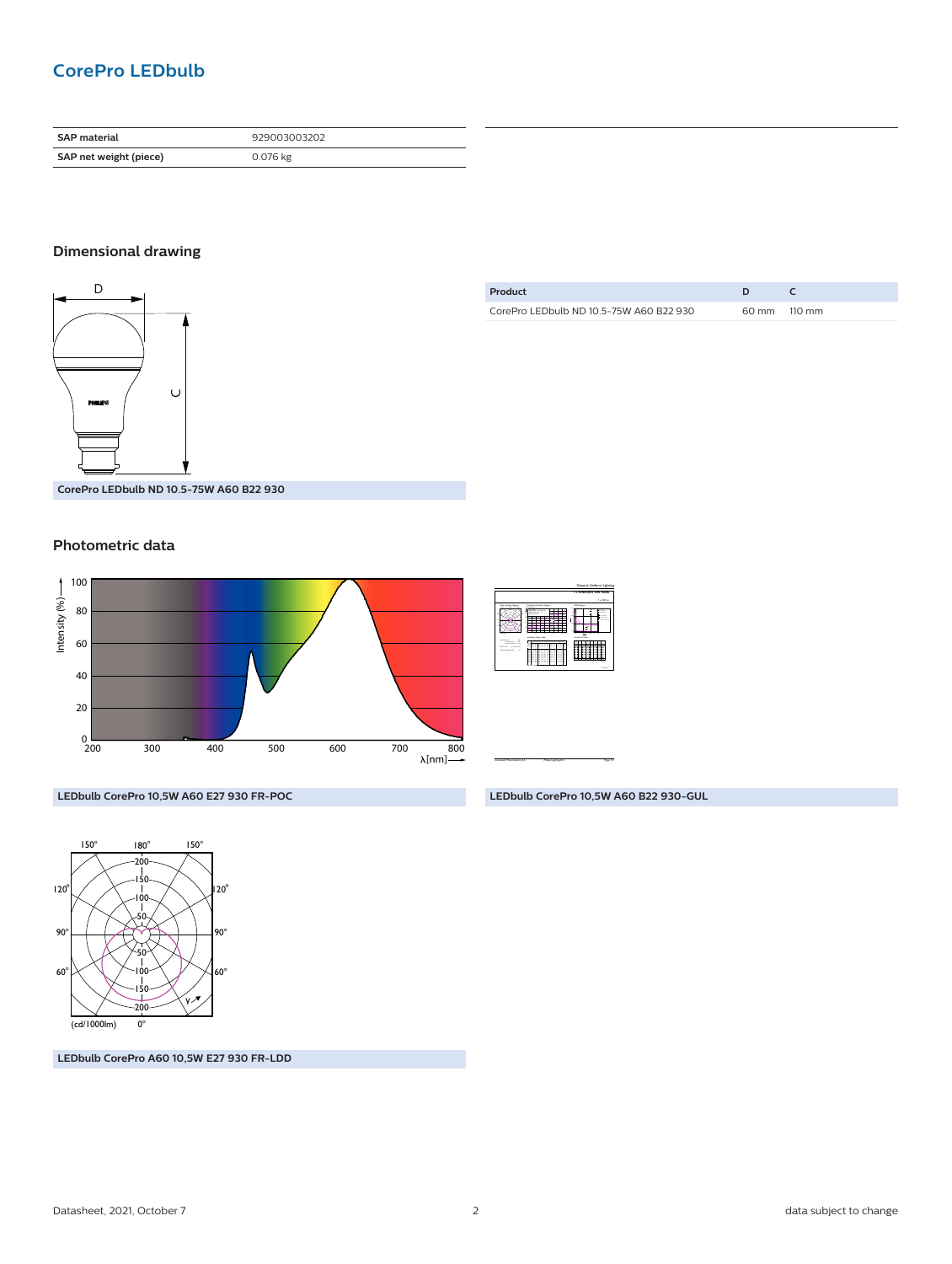## **CorePro LEDbulb**

| <b>SAP material</b>    | 929003003202 |
|------------------------|--------------|
| SAP net weight (piece) | 0.076 kg     |

### **Dimensional drawing**



**Product D C** CorePro LEDbulb ND 10.5-75W A60 B22 930 60 mm 110 mm

**CorePro LEDbulb ND 10.5-75W A60 B22 930**

#### **Photometric data**



|                                                                                                              |                                                                                                                                                                                                                                                                                                                                                                                                             | 1 x 9290030032 10W 3000K                                  |
|--------------------------------------------------------------------------------------------------------------|-------------------------------------------------------------------------------------------------------------------------------------------------------------------------------------------------------------------------------------------------------------------------------------------------------------------------------------------------------------------------------------------------------------|-----------------------------------------------------------|
|                                                                                                              |                                                                                                                                                                                                                                                                                                                                                                                                             | 1 x 100 lm                                                |
|                                                                                                              | Guerra extracta digret<br>$-1$<br>dealers 100<br>-----<br><b>Selection</b><br><b><i><u><u><b>Endlament Burner made</b></u></u></i></b>                                                                                                                                                                                                                                                                      | <b>GCK</b> degree<br>×<br>↽<br>÷<br><b>Longwood Table</b> |
| <b>STATISTICS</b><br>- 22<br>$\sim$<br>was a control of<br><b>Black Street Bldg</b><br><b>COLORADO</b><br>14 | The same and well as<br>2222<br>Ξ<br>∷<br>∷<br>∷<br>∷<br>∷<br>αz<br>====<br>o co<br>٠<br>٠<br>×<br>٠<br>$=$ $=$<br>∷<br>œ<br>Ξ<br>cз<br>$= 5$<br>Ξ<br>==<br><b>CONTRACTOR</b><br>Ξ<br>$-$<br>٠<br>٠<br>۰<br>b.<br>$\sim$<br>-<br>゠゠<br>αz<br>Ξ<br>==<br>œ<br><br>αz<br>Ξ<br>Ξ<br>αz<br>Ξ<br>⋍⋍<br>Ξ<br>Ξ<br>222<br>≕<br>٠<br>×<br>$\sim$<br><br>e s<br>٠<br>∷<br>----<br>c=<br>Ξ<br>Ξ÷<br>з<br>------<br>αz | <b>STATISTICS</b>                                         |

CalcuLuX Photometrics 4.5 Philips Lighting B.V. Page: 1/1

General Uniform Lighting

**LEDbulb CorePro 10,5W A60 B22 930-GUL**

**LEDbulb CorePro 10,5W A60 E27 930 FR-POC**



**LEDbulb CorePro A60 10,5W E27 930 FR-LDD**